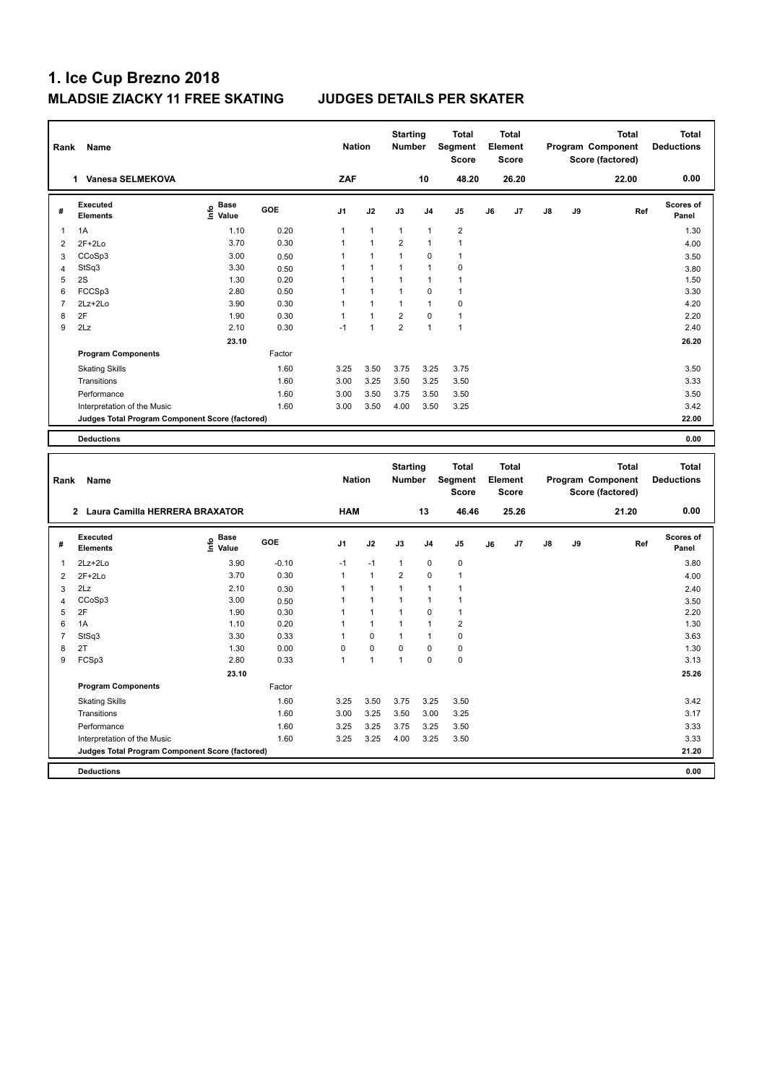| Rank           | Name                                            |                                           |         | <b>Nation</b>  |              | <b>Starting</b><br><b>Number</b> |                | <b>Total</b><br>Segment<br>Score        |    | <b>Total</b><br>Element<br><b>Score</b> |    |    | <b>Total</b><br>Program Component<br>Score (factored) | <b>Total</b><br><b>Deductions</b> |
|----------------|-------------------------------------------------|-------------------------------------------|---------|----------------|--------------|----------------------------------|----------------|-----------------------------------------|----|-----------------------------------------|----|----|-------------------------------------------------------|-----------------------------------|
|                | 1 Vanesa SELMEKOVA                              |                                           |         | ZAF            |              |                                  | 10             | 48.20                                   |    | 26.20                                   |    |    | 22.00                                                 | 0.00                              |
| #              | <b>Executed</b><br><b>Elements</b>              | $\frac{e}{E}$ Base<br>$\frac{e}{E}$ Value | GOE     | J1             | J2           | J3                               | J <sub>4</sub> | J5                                      | J6 | J7                                      | J8 | J9 | Ref                                                   | <b>Scores of</b><br>Panel         |
| $\mathbf{1}$   | 1A                                              | 1.10                                      | 0.20    | $\mathbf{1}$   | $\mathbf{1}$ | $\mathbf{1}$                     | $\overline{1}$ | $\overline{2}$                          |    |                                         |    |    |                                                       | 1.30                              |
| $\overline{2}$ | $2F+2Lo$                                        | 3.70                                      | 0.30    | $\mathbf{1}$   | $\mathbf{1}$ | $\overline{2}$                   | 1              | $\mathbf{1}$                            |    |                                         |    |    |                                                       | 4.00                              |
| $\overline{3}$ | CCoSp3                                          | 3.00                                      | 0.50    | $\mathbf{1}$   | $\mathbf{1}$ | $\mathbf{1}$                     | $\mathbf 0$    | $\overline{1}$                          |    |                                         |    |    |                                                       | 3.50                              |
| $\overline{4}$ | StSq3                                           | 3.30                                      | 0.50    | 1              | $\mathbf{1}$ | $\mathbf{1}$                     | $\mathbf{1}$   | $\mathbf 0$                             |    |                                         |    |    |                                                       | 3.80                              |
| 5              | 2S                                              | 1.30                                      | 0.20    | 1              | $\mathbf{1}$ | $\mathbf{1}$                     | $\mathbf{1}$   | $\mathbf{1}$                            |    |                                         |    |    |                                                       | 1.50                              |
| 6              | FCCSp3                                          | 2.80                                      | 0.50    | 1              | $\mathbf{1}$ | $\mathbf{1}$                     | $\mathbf 0$    | $\mathbf{1}$                            |    |                                         |    |    |                                                       | 3.30                              |
| $\overline{7}$ | 2Lz+2Lo                                         | 3.90                                      | 0.30    | 1              | $\mathbf{1}$ | $\mathbf{1}$                     | $\overline{1}$ | $\mathbf 0$                             |    |                                         |    |    |                                                       | 4.20                              |
| 8              | 2F                                              | 1.90                                      | 0.30    | $\mathbf{1}$   | $\mathbf{1}$ | $\overline{2}$                   | $\Omega$       | $\overline{1}$                          |    |                                         |    |    |                                                       | 2.20                              |
| 9              | 2Lz                                             | 2.10                                      | 0.30    | $-1$           | $\mathbf{1}$ | $\overline{2}$                   | 1              | $\overline{1}$                          |    |                                         |    |    |                                                       | 2.40                              |
|                |                                                 | 23.10                                     |         |                |              |                                  |                |                                         |    |                                         |    |    |                                                       | 26.20                             |
|                | <b>Program Components</b>                       |                                           | Factor  |                |              |                                  |                |                                         |    |                                         |    |    |                                                       |                                   |
|                | <b>Skating Skills</b>                           |                                           | 1.60    | 3.25           | 3.50         | 3.75                             | 3.25           | 3.75                                    |    |                                         |    |    |                                                       | 3.50                              |
|                | Transitions                                     |                                           | 1.60    | 3.00           | 3.25         | 3.50                             | 3.25           | 3.50                                    |    |                                         |    |    |                                                       | 3.33                              |
|                |                                                 |                                           | 1.60    |                |              |                                  |                |                                         |    |                                         |    |    |                                                       | 3.50                              |
|                | Performance                                     |                                           | 1.60    | 3.00           | 3.50         | 3.75                             | 3.50           | 3.50                                    |    |                                         |    |    |                                                       |                                   |
|                | Interpretation of the Music                     |                                           |         | 3.00           | 3.50         | 4.00                             | 3.50           | 3.25                                    |    |                                         |    |    |                                                       | 3.42<br>22.00                     |
|                | Judges Total Program Component Score (factored) |                                           |         |                |              |                                  |                |                                         |    |                                         |    |    |                                                       |                                   |
|                | <b>Deductions</b>                               |                                           |         |                |              |                                  |                |                                         |    |                                         |    |    |                                                       | 0.00                              |
|                |                                                 |                                           |         |                |              |                                  |                |                                         |    |                                         |    |    |                                                       |                                   |
| Rank           | Name                                            |                                           |         | <b>Nation</b>  |              | <b>Starting</b><br>Number        |                | <b>Total</b><br>Segment<br><b>Score</b> |    | <b>Total</b><br>Element<br><b>Score</b> |    |    | <b>Total</b><br>Program Component<br>Score (factored) | <b>Total</b><br><b>Deductions</b> |
|                | 2 Laura Camilla HERRERA BRAXATOR                |                                           |         | <b>HAM</b>     |              |                                  | 13             | 46.46                                   |    | 25.26                                   |    |    | 21.20                                                 | 0.00                              |
| #              | <b>Executed</b>                                 |                                           | GOE     | J <sub>1</sub> | J2           | J3                               | J <sub>4</sub> | J <sub>5</sub>                          | J6 | J7                                      | J8 | J9 | Ref                                                   | <b>Scores of</b>                  |
|                | <b>Elements</b>                                 | e Base<br>E Value                         |         |                |              |                                  |                |                                         |    |                                         |    |    |                                                       | Panel                             |
| -1             | 2Lz+2Lo                                         | 3.90                                      | $-0.10$ | $-1$           | $-1$         | $\mathbf{1}$                     | $\mathbf 0$    | $\mathbf 0$                             |    |                                         |    |    |                                                       | 3.80                              |
| $\overline{2}$ | $2F+2Lo$                                        | 3.70                                      | 0.30    | $\overline{1}$ | $\mathbf{1}$ | $\overline{2}$                   | 0              | $\mathbf{1}$                            |    |                                         |    |    |                                                       | 4.00                              |
| 3              | 2Lz                                             | 2.10                                      | 0.30    | 1              | $\mathbf{1}$ | $\mathbf{1}$                     | 1              | $\overline{1}$                          |    |                                         |    |    |                                                       | 2.40                              |
| $\overline{4}$ | CCoSp3                                          | 3.00                                      | 0.50    | 1              | $\mathbf{1}$ | $\mathbf{1}$                     | 1              | $\overline{1}$                          |    |                                         |    |    |                                                       | 3.50                              |
| 5              | 2F                                              | 1.90                                      | 0.30    | 1              | $\mathbf{1}$ | 1                                | $\mathbf 0$    | $\overline{1}$                          |    |                                         |    |    |                                                       | 2.20                              |
| 6              | 1A                                              | 1.10                                      | 0.20    | $\mathbf{1}$   | $\mathbf{1}$ | $\mathbf{1}$                     | $\mathbf{1}$   | $\overline{2}$                          |    |                                         |    |    |                                                       | 1.30                              |
| $\overline{7}$ | StSq3                                           | 3.30                                      | 0.33    | $\mathbf{1}$   | 0            | $\mathbf{1}$                     | $\mathbf{1}$   | $\pmb{0}$                               |    |                                         |    |    |                                                       | 3.63                              |
| 8              | 2T                                              | 1.30                                      | 0.00    | $\mathbf 0$    | 0            | 0                                | $\mathbf 0$    | $\pmb{0}$                               |    |                                         |    |    |                                                       | 1.30                              |
| 9              | FCSp3                                           | 2.80                                      | 0.33    | $\mathbf{1}$   | $\mathbf{1}$ | $\mathbf{1}$                     | $\mathbf 0$    | $\pmb{0}$                               |    |                                         |    |    |                                                       | 3.13                              |
|                |                                                 | 23.10                                     |         |                |              |                                  |                |                                         |    |                                         |    |    |                                                       | 25.26                             |
|                | <b>Program Components</b>                       |                                           | Factor  |                |              |                                  |                |                                         |    |                                         |    |    |                                                       |                                   |
|                | <b>Skating Skills</b>                           |                                           | 1.60    | 3.25           | 3.50         | 3.75                             | 3.25           | 3.50                                    |    |                                         |    |    |                                                       | 3.42                              |
|                | Transitions                                     |                                           | 1.60    | 3.00           | 3.25         | 3.50                             | 3.00           | 3.25                                    |    |                                         |    |    |                                                       | 3.17                              |
|                | Performance                                     |                                           | 1.60    | 3.25           | 3.25         | 3.75                             | 3.25           | 3.50                                    |    |                                         |    |    |                                                       | 3.33                              |
|                | Interpretation of the Music                     |                                           | 1.60    | 3.25           | 3.25         | 4.00                             | 3.25           | 3.50                                    |    |                                         |    |    |                                                       | 3.33                              |
|                | Judges Total Program Component Score (factored) |                                           |         |                |              |                                  |                |                                         |    |                                         |    |    |                                                       | 21.20                             |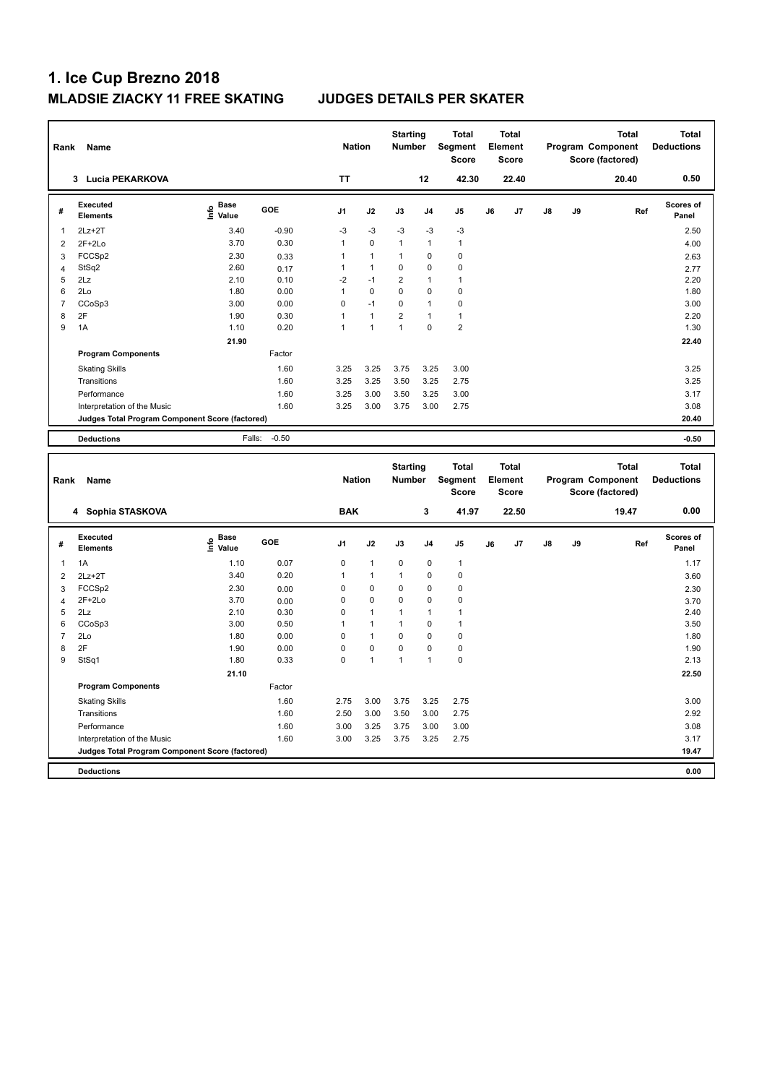| Rank                | Name                                            |                                           |         | <b>Nation</b>              |                             | <b>Starting</b><br><b>Number</b> |                  | <b>Total</b><br>Segment<br>Score |    | <b>Total</b><br>Element<br>Score        |    |    | <b>Total</b><br>Program Component<br>Score (factored) | <b>Total</b><br><b>Deductions</b> |
|---------------------|-------------------------------------------------|-------------------------------------------|---------|----------------------------|-----------------------------|----------------------------------|------------------|----------------------------------|----|-----------------------------------------|----|----|-------------------------------------------------------|-----------------------------------|
|                     | 3 Lucia PEKARKOVA                               |                                           |         | <b>TT</b>                  |                             |                                  | 12               | 42.30                            |    | 22.40                                   |    |    | 20.40                                                 | 0.50                              |
| #                   | Executed<br><b>Elements</b>                     | $\frac{e}{E}$ Base<br>$\frac{e}{E}$ Value | GOE     | J1                         | J2                          | J3                               | J4               | $\mathsf{J}5$                    | J6 | J7                                      | J8 | J9 | Ref                                                   | Scores of<br>Panel                |
| $\mathbf{1}$        | $2Lz + 2T$                                      | 3.40                                      | $-0.90$ | -3                         | $-3$                        | -3                               | $-3$             | -3                               |    |                                         |    |    |                                                       | 2.50                              |
| $\overline{2}$      | $2F+2Lo$                                        | 3.70                                      | 0.30    | $\mathbf{1}$               | 0                           | $\mathbf{1}$                     | $\mathbf{1}$     | $\mathbf{1}$                     |    |                                         |    |    |                                                       | 4.00                              |
| 3                   | FCCSp2                                          | 2.30                                      | 0.33    | $\mathbf{1}$               | $\mathbf{1}$                | $\mathbf{1}$                     | 0                | $\mathbf 0$                      |    |                                         |    |    |                                                       | 2.63                              |
| $\overline{4}$      | StSq2                                           | 2.60                                      | 0.17    | $\mathbf{1}$               | $\mathbf{1}$                | 0                                | 0                | $\mathbf 0$                      |    |                                         |    |    |                                                       | 2.77                              |
| 5                   | 2Lz                                             | 2.10                                      | 0.10    | $-2$                       | $-1$                        | $\overline{2}$                   | 1                | $\overline{1}$                   |    |                                         |    |    |                                                       | 2.20                              |
| 6                   | 2Lo                                             | 1.80                                      | 0.00    | $\mathbf{1}$               | $\mathbf 0$                 | 0                                | $\mathbf 0$      | $\mathbf 0$                      |    |                                         |    |    |                                                       | 1.80                              |
| $\overline{7}$      | CCoSp3                                          | 3.00                                      | 0.00    | $\mathbf 0$                | $-1$                        | 0                                | $\mathbf{1}$     | $\pmb{0}$                        |    |                                         |    |    |                                                       | 3.00                              |
| 8                   | 2F                                              | 1.90                                      | 0.30    | $\mathbf{1}$               | $\mathbf{1}$                | $\overline{\mathbf{c}}$          | $\mathbf{1}$     | $\mathbf{1}$                     |    |                                         |    |    |                                                       | 2.20                              |
| 9                   | 1A                                              | 1.10                                      | 0.20    | $\mathbf{1}$               | $\mathbf{1}$                | $\mathbf{1}$                     | 0                | $\overline{2}$                   |    |                                         |    |    |                                                       | 1.30                              |
|                     |                                                 | 21.90                                     |         |                            |                             |                                  |                  |                                  |    |                                         |    |    |                                                       | 22.40                             |
|                     | <b>Program Components</b>                       |                                           | Factor  |                            |                             |                                  |                  |                                  |    |                                         |    |    |                                                       |                                   |
|                     | <b>Skating Skills</b>                           |                                           | 1.60    | 3.25                       | 3.25                        | 3.75                             | 3.25             | 3.00                             |    |                                         |    |    |                                                       | 3.25                              |
|                     | Transitions                                     |                                           | 1.60    | 3.25                       | 3.25                        | 3.50                             | 3.25             | 2.75                             |    |                                         |    |    |                                                       | 3.25                              |
|                     | Performance                                     |                                           | 1.60    | 3.25                       | 3.00                        | 3.50                             | 3.25             | 3.00                             |    |                                         |    |    |                                                       | 3.17                              |
|                     | Interpretation of the Music                     |                                           | 1.60    | 3.25                       | 3.00                        | 3.75                             | 3.00             | 2.75                             |    |                                         |    |    |                                                       | 3.08                              |
|                     | Judges Total Program Component Score (factored) |                                           |         |                            |                             |                                  |                  |                                  |    |                                         |    |    |                                                       | 20.40                             |
|                     |                                                 |                                           |         |                            |                             |                                  |                  |                                  |    |                                         |    |    |                                                       |                                   |
|                     | <b>Deductions</b>                               | Falls:                                    | $-0.50$ |                            |                             |                                  |                  |                                  |    |                                         |    |    |                                                       | $-0.50$                           |
|                     |                                                 |                                           |         |                            |                             |                                  |                  |                                  |    |                                         |    |    |                                                       |                                   |
| Rank                | Name                                            |                                           |         | <b>Nation</b>              |                             | <b>Starting</b><br>Number        |                  | <b>Total</b><br>Segment<br>Score |    | <b>Total</b><br>Element<br><b>Score</b> |    |    | <b>Total</b><br>Program Component                     | <b>Total</b><br><b>Deductions</b> |
|                     | 4 Sophia STASKOVA                               |                                           |         | <b>BAK</b>                 |                             |                                  | 3                | 41.97                            |    | 22.50                                   |    |    | Score (factored)<br>19.47                             | 0.00                              |
| #                   | Executed<br>Elements                            |                                           | GOE     | J <sub>1</sub>             | J2                          | J3                               | J4               | $\mathsf{J}5$                    | J6 | J7                                      | J8 | J9 | Ref                                                   | Scores of<br>Panel                |
|                     |                                                 | e Base<br>E Value                         |         |                            |                             |                                  |                  |                                  |    |                                         |    |    |                                                       |                                   |
| $\mathbf{1}$        | 1A                                              | 1.10                                      | 0.07    | $\mathbf 0$                | $\mathbf{1}$                | 0                                | 0                | $\mathbf{1}$                     |    |                                         |    |    |                                                       | 1.17                              |
| $\overline{2}$      | $2Lz + 2T$                                      | 3.40                                      | 0.20    | $\mathbf{1}$               | $\mathbf{1}$                | $\mathbf{1}$                     | 0                | $\mathbf 0$                      |    |                                         |    |    |                                                       | 3.60                              |
| 3                   | FCCSp2                                          | 2.30                                      | 0.00    | 0                          | 0                           | 0                                | 0                | $\mathbf 0$                      |    |                                         |    |    |                                                       | 2.30                              |
| $\overline{4}$      | $2F+2Lo$                                        | 3.70                                      | 0.00    | $\mathbf 0$                | 0                           | 0                                | 0                | $\pmb{0}$                        |    |                                         |    |    |                                                       | 3.70                              |
| 5                   | 2Lz                                             | 2.10                                      | 0.30    | $\mathbf 0$                | 1                           | 1                                | 1                | 1                                |    |                                         |    |    |                                                       | 2.40                              |
| 6                   | CCoSp3                                          | 3.00                                      | 0.50    | $\mathbf{1}$               | $\mathbf{1}$                | $\mathbf{1}$<br>0                | $\mathbf 0$<br>0 | $\mathbf{1}$                     |    |                                         |    |    |                                                       | 3.50                              |
| $\overline{7}$<br>8 | 2Lo<br>2F                                       | 1.80                                      | 0.00    | $\mathbf 0$<br>$\mathbf 0$ | $\mathbf{1}$<br>$\mathbf 0$ | 0                                | 0                | $\pmb{0}$                        |    |                                         |    |    |                                                       | 1.80                              |
| 9                   |                                                 | 1.90                                      | 0.00    | $\mathbf 0$                | $\mathbf{1}$                | $\mathbf{1}$                     | $\mathbf{1}$     | $\pmb{0}$<br>$\pmb{0}$           |    |                                         |    |    |                                                       | 1.90<br>2.13                      |
|                     | StSq1                                           | 1.80                                      | 0.33    |                            |                             |                                  |                  |                                  |    |                                         |    |    |                                                       |                                   |
|                     |                                                 | 21.10                                     |         |                            |                             |                                  |                  |                                  |    |                                         |    |    |                                                       | 22.50                             |
|                     | <b>Program Components</b>                       |                                           | Factor  |                            |                             |                                  |                  |                                  |    |                                         |    |    |                                                       |                                   |
|                     | <b>Skating Skills</b>                           |                                           | 1.60    | 2.75                       | 3.00                        | 3.75                             | 3.25             | 2.75                             |    |                                         |    |    |                                                       | 3.00                              |
|                     | Transitions                                     |                                           | 1.60    | 2.50                       | 3.00                        | 3.50                             | 3.00             | 2.75                             |    |                                         |    |    |                                                       | 2.92                              |
|                     | Performance                                     |                                           | 1.60    | 3.00                       | 3.25                        | 3.75                             | 3.00             | 3.00                             |    |                                         |    |    |                                                       | 3.08                              |
|                     | Interpretation of the Music                     |                                           | 1.60    | 3.00                       | 3.25                        | 3.75                             | 3.25             | 2.75                             |    |                                         |    |    |                                                       | 3.17                              |
|                     | Judges Total Program Component Score (factored) |                                           |         |                            |                             |                                  |                  |                                  |    |                                         |    |    |                                                       | 19.47                             |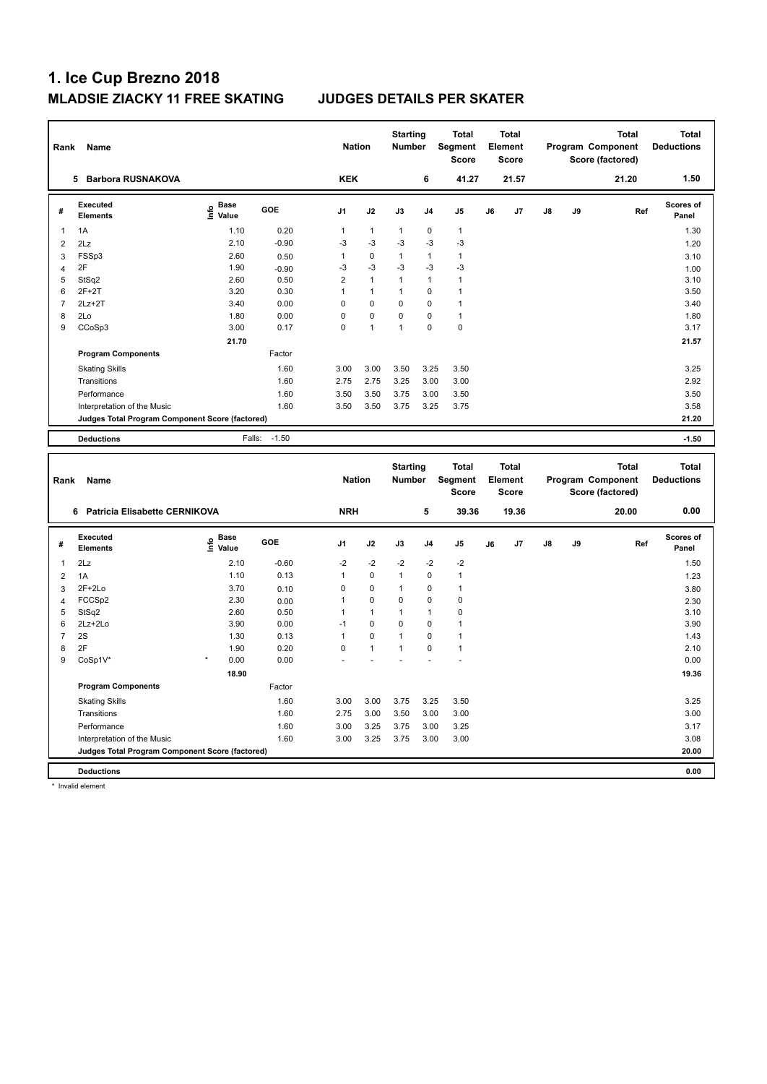| Rank           | Name                                            |                                           |              | <b>Nation</b>        |                  | <b>Starting</b><br>Number   |                            | Total<br>Segment<br>Score            |    | <b>Total</b><br>Element<br><b>Score</b> |    |    | <b>Total</b><br>Program Component<br>Score (factored) | <b>Total</b><br><b>Deductions</b> |
|----------------|-------------------------------------------------|-------------------------------------------|--------------|----------------------|------------------|-----------------------------|----------------------------|--------------------------------------|----|-----------------------------------------|----|----|-------------------------------------------------------|-----------------------------------|
|                | 5 Barbora RUSNAKOVA                             |                                           |              | <b>KEK</b>           |                  |                             | 6                          | 41.27                                |    | 21.57                                   |    |    | 21.20                                                 | 1.50                              |
| #              | <b>Executed</b><br><b>Elements</b>              | $\frac{6}{5}$ Base<br>$\frac{1}{5}$ Value | GOE          | J1                   | J2               | J3                          | J <sub>4</sub>             | J5                                   | J6 | J <sub>7</sub>                          | J8 | J9 | Ref                                                   | Scores of<br>Panel                |
| 1              | 1A                                              | 1.10                                      | 0.20         | $\mathbf{1}$         | $\mathbf{1}$     | 1                           | $\mathbf 0$                | $\mathbf{1}$                         |    |                                         |    |    |                                                       | 1.30                              |
| $\overline{2}$ | 2Lz                                             | 2.10                                      | $-0.90$      | -3                   | $-3$             | $-3$                        | $-3$                       | $-3$                                 |    |                                         |    |    |                                                       | 1.20                              |
| $\mathbf{3}$   | FSSp3                                           | 2.60                                      | 0.50         | $\mathbf{1}$         | $\mathbf 0$      | $\mathbf{1}$                | $\mathbf{1}$               | $\mathbf{1}$                         |    |                                         |    |    |                                                       | 3.10                              |
| $\overline{4}$ | 2F                                              | 1.90                                      | $-0.90$      | $-3$                 | $-3$             | -3                          | $-3$                       | $-3$                                 |    |                                         |    |    |                                                       | 1.00                              |
| 5              | StSq2                                           | 2.60                                      | 0.50         | $\overline{c}$       | $\mathbf{1}$     | $\mathbf{1}$                | $\mathbf{1}$               | $\mathbf{1}$                         |    |                                         |    |    |                                                       | 3.10                              |
| 6              | $2F+2T$                                         | 3.20                                      | 0.30         | $\mathbf{1}$         | $\mathbf{1}$     | $\mathbf{1}$                | $\mathbf 0$                | $\overline{1}$                       |    |                                         |    |    |                                                       | 3.50                              |
| $\overline{7}$ | $2Lz+2T$                                        | 3.40                                      | 0.00         | $\mathbf 0$          | 0                | $\mathbf 0$                 | 0                          | $\mathbf{1}$                         |    |                                         |    |    |                                                       | 3.40                              |
| 8              | 2Lo                                             | 1.80                                      | 0.00         | $\mathbf 0$          | $\mathbf 0$      | $\mathbf 0$                 | $\mathbf 0$                | $\overline{1}$                       |    |                                         |    |    |                                                       | 1.80                              |
| 9              | CCoSp3                                          | 3.00                                      | 0.17         | $\mathbf 0$          | $\mathbf{1}$     | $\mathbf{1}$                | 0                          | $\mathbf 0$                          |    |                                         |    |    |                                                       | 3.17                              |
|                |                                                 | 21.70                                     |              |                      |                  |                             |                            |                                      |    |                                         |    |    |                                                       | 21.57                             |
|                | <b>Program Components</b>                       |                                           | Factor       |                      |                  |                             |                            |                                      |    |                                         |    |    |                                                       |                                   |
|                | <b>Skating Skills</b>                           |                                           | 1.60         | 3.00                 | 3.00             | 3.50                        | 3.25                       | 3.50                                 |    |                                         |    |    |                                                       | 3.25                              |
|                | Transitions                                     |                                           | 1.60         | 2.75                 | 2.75             | 3.25                        | 3.00                       | 3.00                                 |    |                                         |    |    |                                                       | 2.92                              |
|                | Performance                                     |                                           | 1.60         | 3.50                 | 3.50             | 3.75                        | 3.00                       | 3.50                                 |    |                                         |    |    |                                                       | 3.50                              |
|                | Interpretation of the Music                     |                                           | 1.60         | 3.50                 | 3.50             | 3.75                        | 3.25                       | 3.75                                 |    |                                         |    |    |                                                       | 3.58                              |
|                | Judges Total Program Component Score (factored) |                                           |              |                      |                  |                             |                            |                                      |    |                                         |    |    |                                                       | 21.20                             |
|                |                                                 |                                           |              |                      |                  |                             |                            |                                      |    |                                         |    |    |                                                       |                                   |
|                | <b>Deductions</b>                               | Falls:                                    | $-1.50$      |                      |                  |                             |                            |                                      |    |                                         |    |    |                                                       | $-1.50$                           |
|                |                                                 |                                           |              |                      |                  |                             |                            |                                      |    |                                         |    |    |                                                       |                                   |
|                |                                                 |                                           |              |                      |                  |                             |                            |                                      |    |                                         |    |    |                                                       |                                   |
|                |                                                 |                                           |              |                      |                  | <b>Starting</b>             |                            | <b>Total</b>                         |    | <b>Total</b>                            |    |    | <b>Total</b>                                          | <b>Total</b>                      |
| Rank           | Name                                            |                                           |              | <b>Nation</b>        |                  | Number                      |                            | Segment                              |    | Element                                 |    |    | Program Component                                     | <b>Deductions</b>                 |
|                |                                                 |                                           |              |                      |                  |                             |                            | <b>Score</b>                         |    | <b>Score</b>                            |    |    | Score (factored)                                      |                                   |
|                | 6 Patricia Elisabette CERNIKOVA                 |                                           |              | <b>NRH</b>           |                  |                             | 5                          | 39.36                                |    | 19.36                                   |    |    | 20.00                                                 | 0.00                              |
| #              | <b>Executed</b><br><b>Elements</b>              | e Base<br>E Value                         | GOE          | J <sub>1</sub>       | J2               | J3                          | J4                         | J <sub>5</sub>                       | J6 | J7                                      | J8 | J9 | Ref                                                   | Scores of<br>Panel                |
|                |                                                 |                                           |              |                      |                  |                             |                            |                                      |    |                                         |    |    |                                                       |                                   |
| $\mathbf{1}$   | 2Lz                                             | 2.10                                      | $-0.60$      | $-2$                 | $-2$             | $-2$                        | $-2$                       | $-2$                                 |    |                                         |    |    |                                                       | 1.50                              |
| $\overline{2}$ | 1A                                              | 1.10                                      | 0.13         | $\mathbf{1}$         | $\pmb{0}$        | $\mathbf{1}$                | $\mathbf 0$                | $\mathbf{1}$                         |    |                                         |    |    |                                                       | 1.23                              |
| 3              | $2F+2Lo$                                        | 3.70                                      | 0.10         | $\mathbf 0$          | $\pmb{0}$        | $\mathbf{1}$                | $\mathbf 0$                | $\ddot{\phantom{0}}$                 |    |                                         |    |    |                                                       | 3.80                              |
| $\overline{4}$ | FCCSp2                                          | 2.30                                      | 0.00         | $\mathbf{1}$         | 0                | 0                           | $\mathbf 0$                | $\mathbf 0$                          |    |                                         |    |    |                                                       | 2.30                              |
| 5              | StSq2                                           | 2.60                                      | 0.50         | $\mathbf{1}$         | 1                | $\mathbf{1}$                | $\mathbf{1}$               | $\mathbf 0$                          |    |                                         |    |    |                                                       | 3.10                              |
| 6              | 2Lz+2Lo                                         | 3.90                                      | 0.00         | $-1$<br>$\mathbf{1}$ | $\mathbf 0$<br>0 | $\mathbf 0$<br>$\mathbf{1}$ | $\mathbf 0$<br>$\mathbf 0$ | $\mathbf{1}$                         |    |                                         |    |    |                                                       | 3.90                              |
| $\overline{7}$ | 2S                                              | 1.30                                      | 0.13         |                      |                  |                             |                            | $\overline{1}$                       |    |                                         |    |    |                                                       | 1.43                              |
| 8<br>9         | 2F                                              | 1.90                                      | 0.20<br>0.00 | $\mathbf 0$          | $\mathbf{1}$     | $\mathbf{1}$                | 0                          | $\mathbf{1}$<br>$\ddot{\phantom{1}}$ |    |                                         |    |    |                                                       | 2.10                              |
|                | CoSp1V*                                         | 0.00                                      |              |                      |                  |                             |                            |                                      |    |                                         |    |    |                                                       | 0.00                              |
|                |                                                 | 18.90                                     |              |                      |                  |                             |                            |                                      |    |                                         |    |    |                                                       | 19.36                             |
|                | <b>Program Components</b>                       |                                           | Factor       |                      |                  |                             |                            |                                      |    |                                         |    |    |                                                       |                                   |
|                | <b>Skating Skills</b>                           |                                           | 1.60         | 3.00                 | 3.00             | 3.75                        | 3.25                       | 3.50                                 |    |                                         |    |    |                                                       | 3.25                              |
|                | Transitions                                     |                                           | 1.60         | 2.75                 | 3.00             | 3.50                        | 3.00                       | 3.00                                 |    |                                         |    |    |                                                       | 3.00                              |
|                | Performance                                     |                                           | 1.60         | 3.00                 | 3.25             | 3.75                        | 3.00                       | 3.25                                 |    |                                         |    |    |                                                       | 3.17                              |
|                | Interpretation of the Music                     |                                           | 1.60         | 3.00                 | 3.25             | 3.75                        | 3.00                       | 3.00                                 |    |                                         |    |    |                                                       | 3.08                              |
|                | Judges Total Program Component Score (factored) |                                           |              |                      |                  |                             |                            |                                      |    |                                         |    |    |                                                       | 20.00                             |

\* Invalid element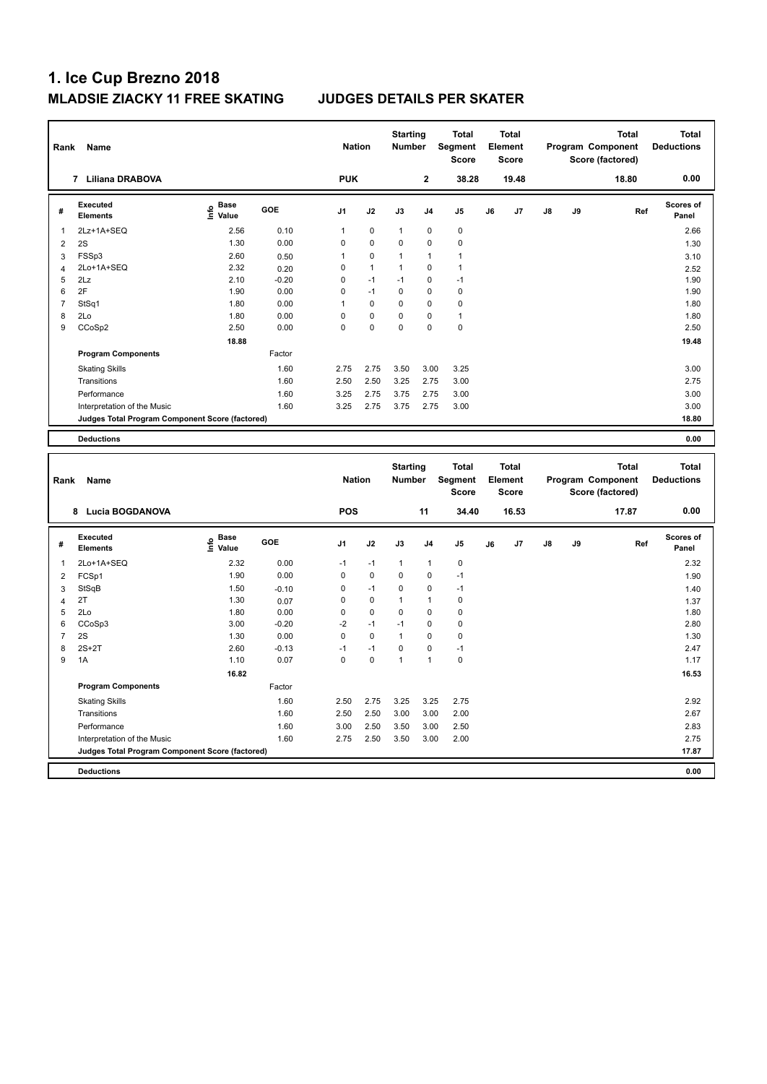| Rank           | Name                                            |                                           |         | <b>Nation</b>  |              | <b>Starting</b><br><b>Number</b> |                | <b>Total</b><br><b>Segment</b><br>Score |    | <b>Total</b><br>Element<br>Score |    |    | <b>Total</b><br>Program Component<br>Score (factored) | <b>Total</b><br><b>Deductions</b> |
|----------------|-------------------------------------------------|-------------------------------------------|---------|----------------|--------------|----------------------------------|----------------|-----------------------------------------|----|----------------------------------|----|----|-------------------------------------------------------|-----------------------------------|
|                | 7 Liliana DRABOVA                               |                                           |         | <b>PUK</b>     |              |                                  | $\overline{2}$ | 38.28                                   |    | 19.48                            |    |    | 18.80                                                 | 0.00                              |
| #              | <b>Executed</b><br><b>Elements</b>              | $\frac{e}{E}$ Base<br>$\frac{e}{E}$ Value | GOE     | J1             | J2           | J3                               | J4             | J5                                      | J6 | J <sub>7</sub>                   | J8 | J9 | Ref                                                   | <b>Scores of</b><br>Panel         |
| 1              | 2Lz+1A+SEQ                                      | 2.56                                      | 0.10    | $\overline{1}$ | $\mathbf 0$  | $\mathbf{1}$                     | $\mathbf 0$    | $\mathbf 0$                             |    |                                  |    |    |                                                       | 2.66                              |
| $\overline{2}$ | 2S                                              | 1.30                                      | 0.00    | $\mathbf 0$    | 0            | $\mathbf 0$                      | 0              | 0                                       |    |                                  |    |    |                                                       | 1.30                              |
| 3              | FSSp3                                           | 2.60                                      | 0.50    | $\overline{1}$ | $\pmb{0}$    | $\mathbf{1}$                     | 1              | 1                                       |    |                                  |    |    |                                                       | 3.10                              |
| $\overline{4}$ | 2Lo+1A+SEQ                                      | 2.32                                      | 0.20    | $\mathbf 0$    | $\mathbf{1}$ | $\mathbf{1}$                     | 0              | $\mathbf{1}$                            |    |                                  |    |    |                                                       | 2.52                              |
| 5              | 2Lz                                             | 2.10                                      | $-0.20$ | $\mathbf 0$    | $-1$         | $-1$                             | $\mathbf 0$    | $-1$                                    |    |                                  |    |    |                                                       | 1.90                              |
| 6              | 2F                                              | 1.90                                      | 0.00    | $\mathbf 0$    | $-1$         | $\mathbf 0$                      | $\mathbf 0$    | $\pmb{0}$                               |    |                                  |    |    |                                                       | 1.90                              |
| $\overline{7}$ | StSq1                                           | 1.80                                      | 0.00    | $\overline{1}$ | $\pmb{0}$    | $\mathbf 0$                      | 0              | 0                                       |    |                                  |    |    |                                                       | 1.80                              |
| 8              | 2Lo                                             | 1.80                                      | 0.00    | $\mathbf 0$    | $\pmb{0}$    | $\mathbf 0$                      | $\mathbf 0$    | $\mathbf{1}$                            |    |                                  |    |    |                                                       | 1.80                              |
| 9              | CCoSp2                                          | 2.50                                      | 0.00    | $\mathbf 0$    | $\pmb{0}$    | $\mathbf 0$                      | $\mathbf 0$    | $\pmb{0}$                               |    |                                  |    |    |                                                       | 2.50                              |
|                |                                                 | 18.88                                     |         |                |              |                                  |                |                                         |    |                                  |    |    |                                                       | 19.48                             |
|                | <b>Program Components</b>                       |                                           | Factor  |                |              |                                  |                |                                         |    |                                  |    |    |                                                       |                                   |
|                | <b>Skating Skills</b>                           |                                           | 1.60    | 2.75           | 2.75         | 3.50                             | 3.00           | 3.25                                    |    |                                  |    |    |                                                       | 3.00                              |
|                | Transitions                                     |                                           | 1.60    | 2.50           | 2.50         | 3.25                             | 2.75           | 3.00                                    |    |                                  |    |    |                                                       | 2.75                              |
|                | Performance                                     |                                           | 1.60    | 3.25           | 2.75         | 3.75                             | 2.75           | 3.00                                    |    |                                  |    |    |                                                       | 3.00                              |
|                | Interpretation of the Music                     |                                           | 1.60    | 3.25           | 2.75         | 3.75                             | 2.75           | 3.00                                    |    |                                  |    |    |                                                       | 3.00                              |
|                |                                                 |                                           |         |                |              |                                  |                |                                         |    |                                  |    |    |                                                       | 18.80                             |
|                | Judges Total Program Component Score (factored) |                                           |         |                |              |                                  |                |                                         |    |                                  |    |    |                                                       |                                   |
|                | <b>Deductions</b>                               |                                           |         |                |              |                                  |                |                                         |    |                                  |    |    |                                                       | 0.00                              |
|                |                                                 |                                           |         |                |              |                                  |                |                                         |    |                                  |    |    |                                                       |                                   |
| Rank           | Name                                            |                                           |         | <b>Nation</b>  |              | <b>Starting</b><br><b>Number</b> |                | <b>Total</b><br>Segment<br><b>Score</b> |    | Total<br>Element<br><b>Score</b> |    |    | <b>Total</b><br>Program Component<br>Score (factored) | <b>Total</b><br><b>Deductions</b> |
|                | 8 Lucia BOGDANOVA                               |                                           |         | <b>POS</b>     |              |                                  | 11             | 34.40                                   |    | 16.53                            |    |    | 17.87                                                 | 0.00                              |
| #              | <b>Executed</b><br><b>Elements</b>              |                                           | GOE     | J1             | J2           | J3                               | J <sub>4</sub> | J5                                      | J6 | J7                               | J8 | J9 | Ref                                                   | <b>Scores of</b><br>Panel         |
|                |                                                 | $rac{e}{E}$ Base                          |         |                |              |                                  |                |                                         |    |                                  |    |    |                                                       |                                   |
| 1              | 2Lo+1A+SEQ                                      | 2.32                                      | 0.00    | $-1$           | $-1$         | $\mathbf{1}$                     | $\mathbf{1}$   | 0                                       |    |                                  |    |    |                                                       | 2.32                              |
| 2              | FCSp1                                           | 1.90                                      | 0.00    | $\mathbf 0$    | $\mathbf 0$  | $\mathbf 0$                      | 0              | $-1$                                    |    |                                  |    |    |                                                       | 1.90                              |
| 3              | StSqB                                           | 1.50                                      | $-0.10$ | $\mathbf 0$    | $-1$         | $\mathbf 0$                      | $\mathbf 0$    | $-1$                                    |    |                                  |    |    |                                                       | 1.40                              |
| $\overline{4}$ | 2T                                              | 1.30                                      | 0.07    | $\mathbf 0$    | $\mathbf 0$  | $\mathbf{1}$                     | 1              | $\mathbf 0$                             |    |                                  |    |    |                                                       | 1.37                              |
| 5              | 2Lo                                             | 1.80                                      | 0.00    | $\mathbf 0$    | $\mathbf 0$  | $\mathbf 0$                      | 0              | 0                                       |    |                                  |    |    |                                                       | 1.80                              |
| 6              | CCoSp3                                          | 3.00                                      | $-0.20$ | $-2$           | $-1$         | $-1$                             | $\Omega$       | $\Omega$                                |    |                                  |    |    |                                                       | 2.80                              |
| $\overline{7}$ | 2S                                              | 1.30                                      | 0.00    | $\mathbf 0$    | $\mathbf 0$  | $\mathbf{1}$                     | 0              | 0                                       |    |                                  |    |    |                                                       | 1.30                              |
| 8              | $2S+2T$                                         | 2.60                                      | $-0.13$ | $-1$           | $-1$         | $\pmb{0}$                        | $\mathbf 0$    | $-1$                                    |    |                                  |    |    |                                                       | 2.47                              |
| 9              | 1A                                              | 1.10                                      | 0.07    | $\pmb{0}$      | $\pmb{0}$    | $\mathbf{1}$                     | $\mathbf{1}$   | $\pmb{0}$                               |    |                                  |    |    |                                                       | 1.17                              |
|                |                                                 | 16.82                                     |         |                |              |                                  |                |                                         |    |                                  |    |    |                                                       | 16.53                             |
|                | <b>Program Components</b>                       |                                           | Factor  |                |              |                                  |                |                                         |    |                                  |    |    |                                                       |                                   |
|                | <b>Skating Skills</b>                           |                                           | 1.60    | 2.50           | 2.75         | 3.25                             | 3.25           | 2.75                                    |    |                                  |    |    |                                                       | 2.92                              |
|                | Transitions                                     |                                           | 1.60    | 2.50           | 2.50         | 3.00                             | 3.00           | 2.00                                    |    |                                  |    |    |                                                       | 2.67                              |
|                | Performance                                     |                                           | 1.60    | 3.00           | 2.50         | 3.50                             | 3.00           | 2.50                                    |    |                                  |    |    |                                                       | 2.83                              |
|                | Interpretation of the Music                     |                                           | 1.60    | 2.75           | 2.50         | 3.50                             | 3.00           | 2.00                                    |    |                                  |    |    |                                                       | 2.75                              |
|                | Judges Total Program Component Score (factored) |                                           |         |                |              |                                  |                |                                         |    |                                  |    |    |                                                       | 17.87                             |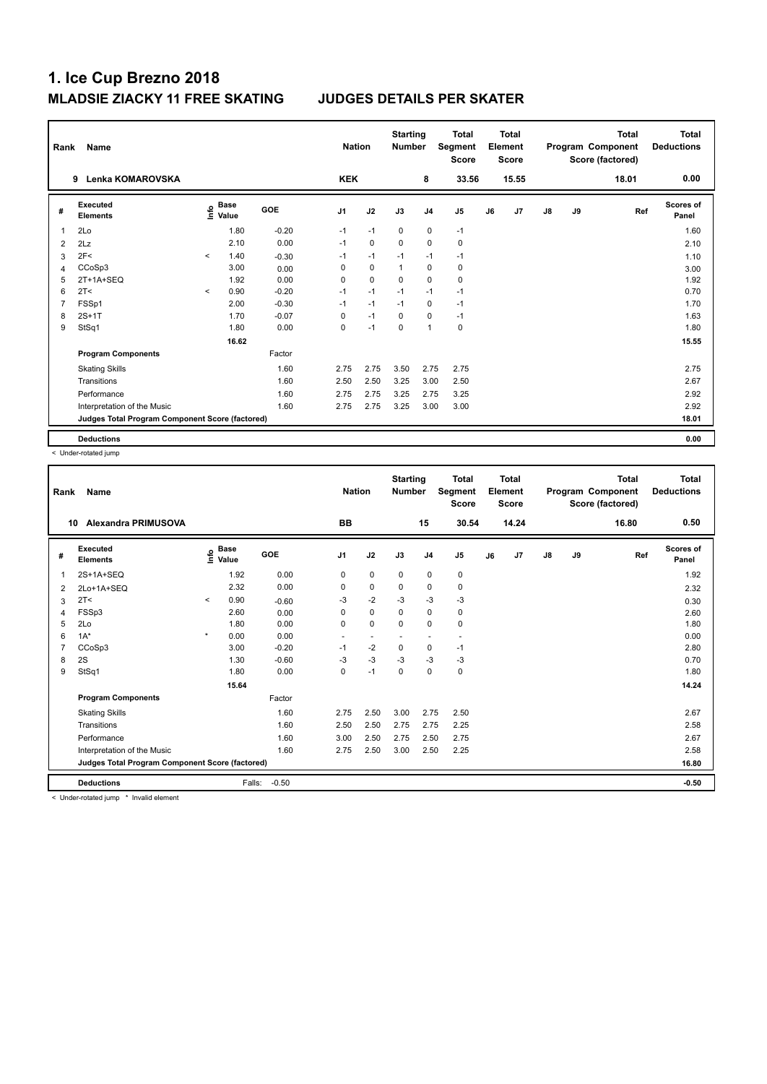| Rank           | Name                                            |         |                                  |            | <b>Nation</b>  |             | <b>Starting</b><br><b>Number</b> |                | <b>Total</b><br>Segment<br><b>Score</b> |    | <b>Total</b><br>Element<br><b>Score</b> |               |    | <b>Total</b><br>Program Component<br>Score (factored) | Total<br><b>Deductions</b> |
|----------------|-------------------------------------------------|---------|----------------------------------|------------|----------------|-------------|----------------------------------|----------------|-----------------------------------------|----|-----------------------------------------|---------------|----|-------------------------------------------------------|----------------------------|
|                | <b>Lenka KOMAROVSKA</b><br>9                    |         |                                  |            | <b>KEK</b>     |             |                                  | 8              | 33.56                                   |    | 15.55                                   |               |    | 18.01                                                 | 0.00                       |
| #              | Executed<br><b>Elements</b>                     |         | <b>Base</b><br>o Base<br>⊆ Value | <b>GOE</b> | J <sub>1</sub> | J2          | J3                               | J <sub>4</sub> | J <sub>5</sub>                          | J6 | J7                                      | $\mathsf{J}8$ | J9 | Ref                                                   | <b>Scores of</b><br>Panel  |
| 1              | 2Lo                                             |         | 1.80                             | $-0.20$    | $-1$           | $-1$        | $\mathbf 0$                      | $\mathbf 0$    | $-1$                                    |    |                                         |               |    |                                                       | 1.60                       |
| 2              | 2Lz                                             |         | 2.10                             | 0.00       | $-1$           | $\mathbf 0$ | $\mathbf 0$                      | $\mathbf 0$    | 0                                       |    |                                         |               |    |                                                       | 2.10                       |
| 3              | 2F<                                             | $\prec$ | 1.40                             | $-0.30$    | $-1$           | $-1$        | $-1$                             | $-1$           | $-1$                                    |    |                                         |               |    |                                                       | 1.10                       |
| 4              | CCoSp3                                          |         | 3.00                             | 0.00       | 0              | $\mathbf 0$ | $\overline{1}$                   | $\pmb{0}$      | $\pmb{0}$                               |    |                                         |               |    |                                                       | 3.00                       |
| 5              | 2T+1A+SEQ                                       |         | 1.92                             | 0.00       | 0              | $\mathbf 0$ | 0                                | 0              | 0                                       |    |                                         |               |    |                                                       | 1.92                       |
| 6              | 2T <                                            | $\prec$ | 0.90                             | $-0.20$    | $-1$           | $-1$        | $-1$                             | $-1$           | $-1$                                    |    |                                         |               |    |                                                       | 0.70                       |
| $\overline{7}$ | FSSp1                                           |         | 2.00                             | $-0.30$    | $-1$           | $-1$        | $-1$                             | $\mathbf 0$    | $-1$                                    |    |                                         |               |    |                                                       | 1.70                       |
| 8              | $2S+1T$                                         |         | 1.70                             | $-0.07$    | 0              | $-1$        | 0                                | $\mathbf 0$    | $-1$                                    |    |                                         |               |    |                                                       | 1.63                       |
| 9              | StSq1                                           |         | 1.80                             | 0.00       | 0              | $-1$        | $\mathbf 0$                      | $\overline{1}$ | $\pmb{0}$                               |    |                                         |               |    |                                                       | 1.80                       |
|                |                                                 |         | 16.62                            |            |                |             |                                  |                |                                         |    |                                         |               |    |                                                       | 15.55                      |
|                | <b>Program Components</b>                       |         |                                  | Factor     |                |             |                                  |                |                                         |    |                                         |               |    |                                                       |                            |
|                | <b>Skating Skills</b>                           |         |                                  | 1.60       | 2.75           | 2.75        | 3.50                             | 2.75           | 2.75                                    |    |                                         |               |    |                                                       | 2.75                       |
|                | Transitions                                     |         |                                  | 1.60       | 2.50           | 2.50        | 3.25                             | 3.00           | 2.50                                    |    |                                         |               |    |                                                       | 2.67                       |
|                | Performance                                     |         |                                  | 1.60       | 2.75           | 2.75        | 3.25                             | 2.75           | 3.25                                    |    |                                         |               |    |                                                       | 2.92                       |
|                | Interpretation of the Music                     |         |                                  | 1.60       | 2.75           | 2.75        | 3.25                             | 3.00           | 3.00                                    |    |                                         |               |    |                                                       | 2.92                       |
|                | Judges Total Program Component Score (factored) |         |                                  |            |                |             |                                  |                |                                         |    |                                         |               |    |                                                       | 18.01                      |
|                | <b>Deductions</b>                               |         |                                  |            |                |             |                                  |                |                                         |    |                                         |               |    |                                                       | 0.00                       |

< Under-rotated jump

| Rank | Name                                            |         |                                  |            | <b>Nation</b>  |                          | <b>Starting</b><br><b>Number</b> |                | <b>Total</b><br>Segment<br><b>Score</b> |    | <b>Total</b><br>Element<br><b>Score</b> |               |    | <b>Total</b><br>Program Component<br>Score (factored) | <b>Total</b><br><b>Deductions</b> |
|------|-------------------------------------------------|---------|----------------------------------|------------|----------------|--------------------------|----------------------------------|----------------|-----------------------------------------|----|-----------------------------------------|---------------|----|-------------------------------------------------------|-----------------------------------|
| 10   | <b>Alexandra PRIMUSOVA</b>                      |         |                                  |            | <b>BB</b>      |                          |                                  | 15             | 30.54                                   |    | 14.24                                   |               |    | 16.80                                                 | 0.50                              |
| #    | Executed<br><b>Elements</b>                     |         | <b>Base</b><br>e Base<br>⊆ Value | <b>GOE</b> | J <sub>1</sub> | J2                       | J3                               | J <sub>4</sub> | J5                                      | J6 | J7                                      | $\mathsf{J}8$ | J9 | Ref                                                   | <b>Scores of</b><br>Panel         |
| 1    | 2S+1A+SEQ                                       |         | 1.92                             | 0.00       | 0              | $\mathbf 0$              | $\mathbf 0$                      | $\pmb{0}$      | $\pmb{0}$                               |    |                                         |               |    |                                                       | 1.92                              |
| 2    | 2Lo+1A+SEQ                                      |         | 2.32                             | 0.00       | 0              | 0                        | $\mathbf 0$                      | 0              | $\pmb{0}$                               |    |                                         |               |    |                                                       | 2.32                              |
| 3    | 2T <                                            | $\prec$ | 0.90                             | $-0.60$    | -3             | $-2$                     | -3                               | $-3$           | -3                                      |    |                                         |               |    |                                                       | 0.30                              |
| 4    | FSSp3                                           |         | 2.60                             | 0.00       | 0              | $\mathbf 0$              | $\mathbf 0$                      | $\mathbf 0$    | $\pmb{0}$                               |    |                                         |               |    |                                                       | 2.60                              |
| 5    | 2Lo                                             |         | 1.80                             | 0.00       | 0              | $\pmb{0}$                | $\Omega$                         | 0              | 0                                       |    |                                         |               |    |                                                       | 1.80                              |
| 6    | $1A^*$                                          | $\star$ | 0.00                             | 0.00       | ٠              | $\overline{\phantom{a}}$ | ٠                                | ٠              | ٠                                       |    |                                         |               |    |                                                       | 0.00                              |
|      | CCoSp3                                          |         | 3.00                             | $-0.20$    | $-1$           | $-2$                     | $\mathbf 0$                      | 0              | $-1$                                    |    |                                         |               |    |                                                       | 2.80                              |
| 8    | 2S                                              |         | 1.30                             | $-0.60$    | $-3$           | $-3$                     | $-3$                             | $-3$           | $-3$                                    |    |                                         |               |    |                                                       | 0.70                              |
| 9    | StSq1                                           |         | 1.80                             | 0.00       | 0              | $-1$                     | $\mathbf 0$                      | 0              | 0                                       |    |                                         |               |    |                                                       | 1.80                              |
|      |                                                 |         | 15.64                            |            |                |                          |                                  |                |                                         |    |                                         |               |    |                                                       | 14.24                             |
|      | <b>Program Components</b>                       |         |                                  | Factor     |                |                          |                                  |                |                                         |    |                                         |               |    |                                                       |                                   |
|      | <b>Skating Skills</b>                           |         |                                  | 1.60       | 2.75           | 2.50                     | 3.00                             | 2.75           | 2.50                                    |    |                                         |               |    |                                                       | 2.67                              |
|      | Transitions                                     |         |                                  | 1.60       | 2.50           | 2.50                     | 2.75                             | 2.75           | 2.25                                    |    |                                         |               |    |                                                       | 2.58                              |
|      | Performance                                     |         |                                  | 1.60       | 3.00           | 2.50                     | 2.75                             | 2.50           | 2.75                                    |    |                                         |               |    |                                                       | 2.67                              |
|      | Interpretation of the Music                     |         |                                  | 1.60       | 2.75           | 2.50                     | 3.00                             | 2.50           | 2.25                                    |    |                                         |               |    |                                                       | 2.58                              |
|      | Judges Total Program Component Score (factored) |         |                                  |            |                |                          |                                  |                |                                         |    |                                         |               |    |                                                       | 16.80                             |
|      | <b>Deductions</b>                               |         | Falls:                           | $-0.50$    |                |                          |                                  |                |                                         |    |                                         |               |    |                                                       | $-0.50$                           |

< Under-rotated jump \* Invalid element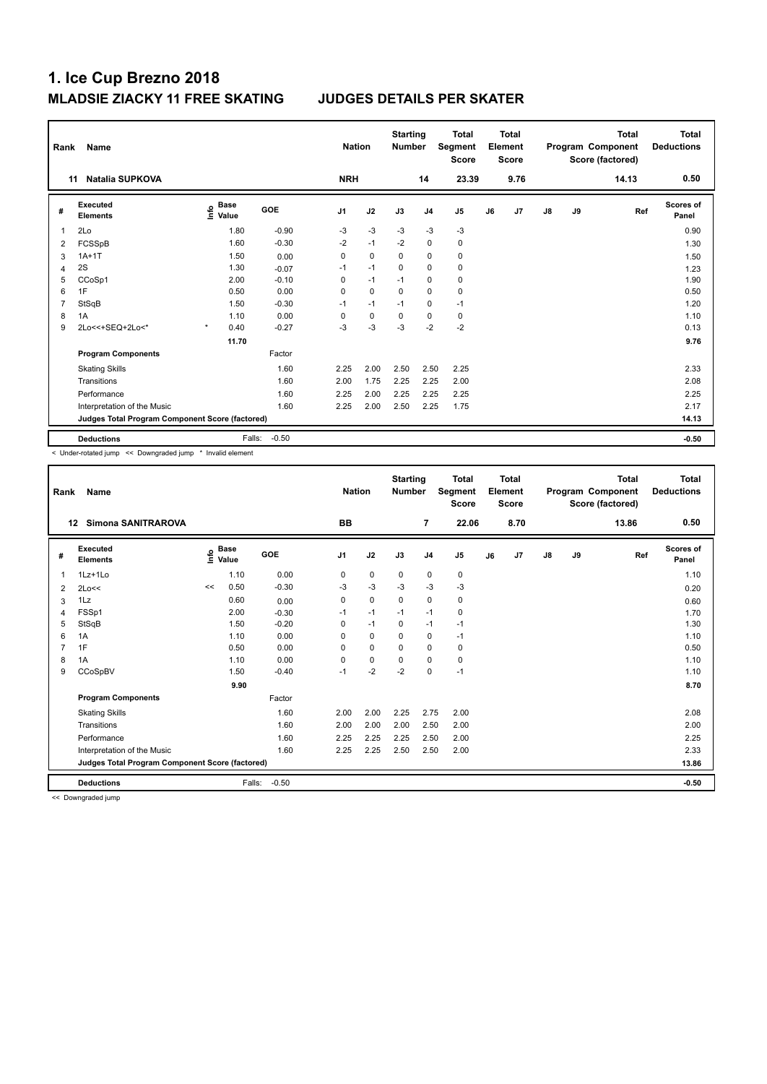| Rank           | Name                                            |                              |            | <b>Nation</b>  |             | <b>Starting</b><br><b>Number</b> |                | <b>Total</b><br>Segment<br><b>Score</b> |    | <b>Total</b><br>Element<br><b>Score</b> |               |    | <b>Total</b><br>Program Component<br>Score (factored) | Total<br><b>Deductions</b> |
|----------------|-------------------------------------------------|------------------------------|------------|----------------|-------------|----------------------------------|----------------|-----------------------------------------|----|-----------------------------------------|---------------|----|-------------------------------------------------------|----------------------------|
|                | <b>Natalia SUPKOVA</b><br>11                    |                              |            | <b>NRH</b>     |             |                                  | 14             | 23.39                                   |    | 9.76                                    |               |    | 14.13                                                 | 0.50                       |
| #              | Executed<br><b>Elements</b>                     | <b>Base</b><br>١rfo<br>Value | <b>GOE</b> | J <sub>1</sub> | J2          | J3                               | J <sub>4</sub> | J <sub>5</sub>                          | J6 | J7                                      | $\mathsf{J}8$ | J9 | Ref                                                   | Scores of<br>Panel         |
|                | 2Lo                                             | 1.80                         | $-0.90$    | $-3$           | $-3$        | $-3$                             | $-3$           | $-3$                                    |    |                                         |               |    |                                                       | 0.90                       |
| 2              | FCSSpB                                          | 1.60                         | $-0.30$    | $-2$           | $-1$        | $-2$                             | $\mathbf 0$    | $\pmb{0}$                               |    |                                         |               |    |                                                       | 1.30                       |
| 3              | $1A+1T$                                         | 1.50                         | 0.00       | 0              | $\mathbf 0$ | $\Omega$                         | $\mathbf 0$    | $\pmb{0}$                               |    |                                         |               |    |                                                       | 1.50                       |
| 4              | 2S                                              | 1.30                         | $-0.07$    | $-1$           | $-1$        | $\Omega$                         | $\mathbf 0$    | $\mathbf 0$                             |    |                                         |               |    |                                                       | 1.23                       |
| 5              | CCoSp1                                          | 2.00                         | $-0.10$    | 0              | $-1$        | $-1$                             | $\Omega$       | 0                                       |    |                                         |               |    |                                                       | 1.90                       |
| 6              | 1F                                              | 0.50                         | 0.00       | 0              | $\mathbf 0$ | 0                                | $\mathbf 0$    | $\pmb{0}$                               |    |                                         |               |    |                                                       | 0.50                       |
| $\overline{7}$ | StSqB                                           | 1.50                         | $-0.30$    | $-1$           | $-1$        | $-1$                             | $\mathbf 0$    | $-1$                                    |    |                                         |               |    |                                                       | 1.20                       |
| 8              | 1A                                              | 1.10                         | 0.00       | 0              | $\mathbf 0$ | 0                                | 0              | 0                                       |    |                                         |               |    |                                                       | 1.10                       |
| 9              | 2Lo<<+SEQ+2Lo<*                                 | $\star$<br>0.40              | $-0.27$    | $-3$           | $-3$        | $-3$                             | $-2$           | $-2$                                    |    |                                         |               |    |                                                       | 0.13                       |
|                |                                                 | 11.70                        |            |                |             |                                  |                |                                         |    |                                         |               |    |                                                       | 9.76                       |
|                | <b>Program Components</b>                       |                              | Factor     |                |             |                                  |                |                                         |    |                                         |               |    |                                                       |                            |
|                | <b>Skating Skills</b>                           |                              | 1.60       | 2.25           | 2.00        | 2.50                             | 2.50           | 2.25                                    |    |                                         |               |    |                                                       | 2.33                       |
|                | Transitions                                     |                              | 1.60       | 2.00           | 1.75        | 2.25                             | 2.25           | 2.00                                    |    |                                         |               |    |                                                       | 2.08                       |
|                | Performance                                     |                              | 1.60       | 2.25           | 2.00        | 2.25                             | 2.25           | 2.25                                    |    |                                         |               |    |                                                       | 2.25                       |
|                | Interpretation of the Music                     |                              | 1.60       | 2.25           | 2.00        | 2.50                             | 2.25           | 1.75                                    |    |                                         |               |    |                                                       | 2.17                       |
|                | Judges Total Program Component Score (factored) |                              |            |                |             |                                  |                |                                         |    |                                         |               |    |                                                       | 14.13                      |
|                | <b>Deductions</b>                               | Falls:                       | $-0.50$    |                |             |                                  |                |                                         |    |                                         |               |    |                                                       | $-0.50$                    |

< Under-rotated jump << Downgraded jump \* Invalid element

| Rank | <b>Name</b>                                     |    |                                  |            | <b>Nation</b> |             | <b>Starting</b><br><b>Number</b> |                | <b>Total</b><br>Segment<br><b>Score</b> |    | <b>Total</b><br>Element<br><b>Score</b> |               |    | <b>Total</b><br>Program Component<br>Score (factored) | <b>Total</b><br><b>Deductions</b> |
|------|-------------------------------------------------|----|----------------------------------|------------|---------------|-------------|----------------------------------|----------------|-----------------------------------------|----|-----------------------------------------|---------------|----|-------------------------------------------------------|-----------------------------------|
| 12   | <b>Simona SANITRAROVA</b>                       |    |                                  |            | <b>BB</b>     |             |                                  | $\overline{7}$ | 22.06                                   |    | 8.70                                    |               |    | 13.86                                                 | 0.50                              |
| #    | Executed<br><b>Elements</b>                     |    | <b>Base</b><br>e Base<br>⊆ Value | <b>GOE</b> | J1            | J2          | J3                               | J <sub>4</sub> | J5                                      | J6 | J7                                      | $\mathsf{J}8$ | J9 | Ref                                                   | <b>Scores of</b><br>Panel         |
| 1    | 1Lz+1Lo                                         |    | 1.10                             | 0.00       | 0             | $\mathbf 0$ | $\mathbf 0$                      | 0              | 0                                       |    |                                         |               |    |                                                       | 1.10                              |
| 2    | 2Lo<<                                           | << | 0.50                             | $-0.30$    | -3            | $-3$        | $-3$                             | $-3$           | $-3$                                    |    |                                         |               |    |                                                       | 0.20                              |
| 3    | 1Lz                                             |    | 0.60                             | 0.00       | 0             | 0           | $\mathbf 0$                      | 0              | 0                                       |    |                                         |               |    |                                                       | 0.60                              |
| 4    | FSSp1                                           |    | 2.00                             | $-0.30$    | $-1$          | $-1$        | $-1$                             | $-1$           | 0                                       |    |                                         |               |    |                                                       | 1.70                              |
| 5    | StSqB                                           |    | 1.50                             | $-0.20$    | 0             | $-1$        | $\mathbf 0$                      | $-1$           | $-1$                                    |    |                                         |               |    |                                                       | 1.30                              |
| 6    | 1A                                              |    | 1.10                             | 0.00       | $\Omega$      | $\Omega$    | $\Omega$                         | 0              | $-1$                                    |    |                                         |               |    |                                                       | 1.10                              |
|      | 1F                                              |    | 0.50                             | 0.00       | $\Omega$      | $\mathbf 0$ | $\Omega$                         | $\mathbf 0$    | 0                                       |    |                                         |               |    |                                                       | 0.50                              |
| 8    | 1A                                              |    | 1.10                             | 0.00       | 0             | $\mathbf 0$ | $\Omega$                         | $\Omega$       | 0                                       |    |                                         |               |    |                                                       | 1.10                              |
| 9    | CCoSpBV                                         |    | 1.50                             | $-0.40$    | $-1$          | $-2$        | $-2$                             | $\mathbf 0$    | $-1$                                    |    |                                         |               |    |                                                       | 1.10                              |
|      |                                                 |    | 9.90                             |            |               |             |                                  |                |                                         |    |                                         |               |    |                                                       | 8.70                              |
|      | <b>Program Components</b>                       |    |                                  | Factor     |               |             |                                  |                |                                         |    |                                         |               |    |                                                       |                                   |
|      | <b>Skating Skills</b>                           |    |                                  | 1.60       | 2.00          | 2.00        | 2.25                             | 2.75           | 2.00                                    |    |                                         |               |    |                                                       | 2.08                              |
|      | Transitions                                     |    |                                  | 1.60       | 2.00          | 2.00        | 2.00                             | 2.50           | 2.00                                    |    |                                         |               |    |                                                       | 2.00                              |
|      | Performance                                     |    |                                  | 1.60       | 2.25          | 2.25        | 2.25                             | 2.50           | 2.00                                    |    |                                         |               |    |                                                       | 2.25                              |
|      | Interpretation of the Music                     |    |                                  | 1.60       | 2.25          | 2.25        | 2.50                             | 2.50           | 2.00                                    |    |                                         |               |    |                                                       | 2.33                              |
|      | Judges Total Program Component Score (factored) |    |                                  |            |               |             |                                  |                |                                         |    |                                         |               |    |                                                       | 13.86                             |
|      | <b>Deductions</b>                               |    | Falls:                           | $-0.50$    |               |             |                                  |                |                                         |    |                                         |               |    |                                                       | $-0.50$                           |

<< Downgraded jump